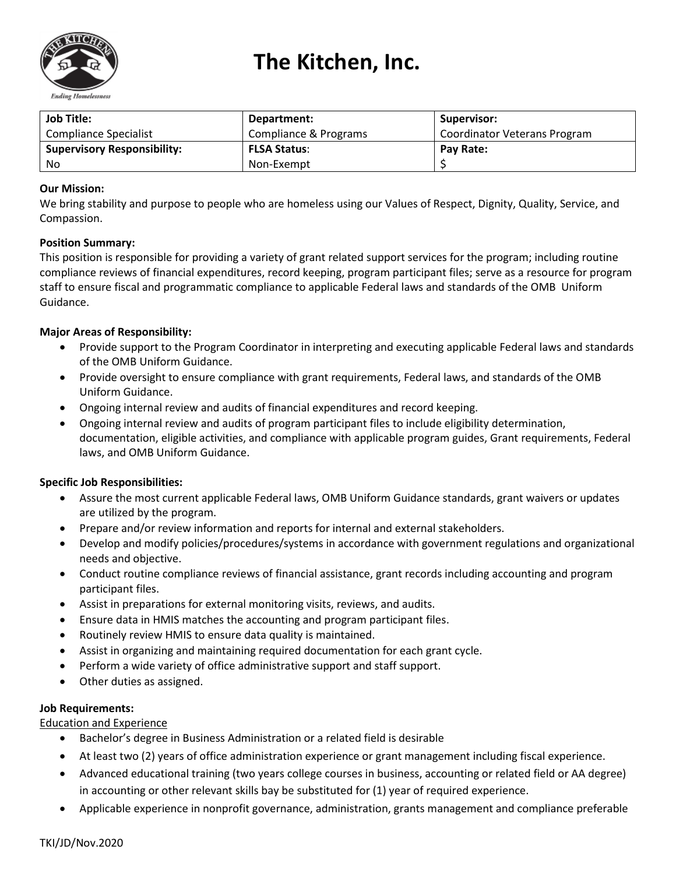

# **The Kitchen, Inc.**

| <b>Job Title:</b>                  | Department:           | Supervisor:                  |
|------------------------------------|-----------------------|------------------------------|
| Compliance Specialist              | Compliance & Programs | Coordinator Veterans Program |
| <b>Supervisory Responsibility:</b> | <b>FLSA Status:</b>   | Pay Rate:                    |
| No                                 | Non-Exempt            |                              |

# **Our Mission:**

We bring stability and purpose to people who are homeless using our Values of Respect, Dignity, Quality, Service, and Compassion.

### **Position Summary:**

This position is responsible for providing a variety of grant related support services for the program; including routine compliance reviews of financial expenditures, record keeping, program participant files; serve as a resource for program staff to ensure fiscal and programmatic compliance to applicable Federal laws and standards of the OMB Uniform Guidance.

### **Major Areas of Responsibility:**

- Provide support to the Program Coordinator in interpreting and executing applicable Federal laws and standards of the OMB Uniform Guidance.
- Provide oversight to ensure compliance with grant requirements, Federal laws, and standards of the OMB Uniform Guidance.
- Ongoing internal review and audits of financial expenditures and record keeping.
- Ongoing internal review and audits of program participant files to include eligibility determination, documentation, eligible activities, and compliance with applicable program guides, Grant requirements, Federal laws, and OMB Uniform Guidance.

### **Specific Job Responsibilities:**

- Assure the most current applicable Federal laws, OMB Uniform Guidance standards, grant waivers or updates are utilized by the program.
- Prepare and/or review information and reports for internal and external stakeholders.
- Develop and modify policies/procedures/systems in accordance with government regulations and organizational needs and objective.
- Conduct routine compliance reviews of financial assistance, grant records including accounting and program participant files.
- Assist in preparations for external monitoring visits, reviews, and audits.
- Ensure data in HMIS matches the accounting and program participant files.
- Routinely review HMIS to ensure data quality is maintained.
- Assist in organizing and maintaining required documentation for each grant cycle.
- Perform a wide variety of office administrative support and staff support.
- Other duties as assigned.

### **Job Requirements:**

Education and Experience

- Bachelor's degree in Business Administration or a related field is desirable
- At least two (2) years of office administration experience or grant management including fiscal experience.
- Advanced educational training (two years college courses in business, accounting or related field or AA degree) in accounting or other relevant skills bay be substituted for (1) year of required experience.
- Applicable experience in nonprofit governance, administration, grants management and compliance preferable